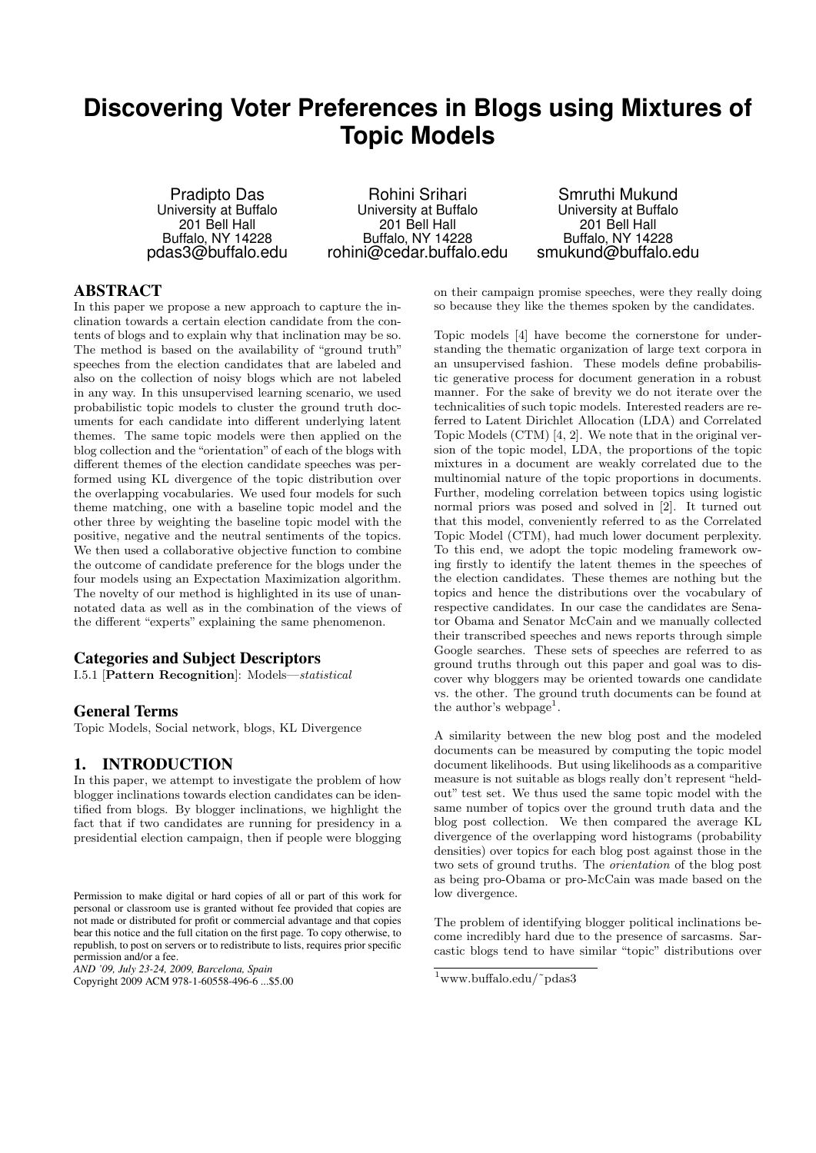# **Discovering Voter Preferences in Blogs using Mixtures of Topic Models**

Pradipto Das University at Buffalo 201 Bell Hall Buffalo, NY 14228 pdas3@buffalo.edu

Rohini Srihari University at Buffalo 201 Bell Hall Buffalo, NY 14228 rohini@cedar.buffalo.edu

Smruthi Mukund University at Buffalo 201 Bell Hall Buffalo, NY 14228 smukund@buffalo.edu

### ABSTRACT

In this paper we propose a new approach to capture the inclination towards a certain election candidate from the contents of blogs and to explain why that inclination may be so. The method is based on the availability of "ground truth" speeches from the election candidates that are labeled and also on the collection of noisy blogs which are not labeled in any way. In this unsupervised learning scenario, we used probabilistic topic models to cluster the ground truth documents for each candidate into different underlying latent themes. The same topic models were then applied on the blog collection and the "orientation" of each of the blogs with different themes of the election candidate speeches was performed using KL divergence of the topic distribution over the overlapping vocabularies. We used four models for such theme matching, one with a baseline topic model and the other three by weighting the baseline topic model with the positive, negative and the neutral sentiments of the topics. We then used a collaborative objective function to combine the outcome of candidate preference for the blogs under the four models using an Expectation Maximization algorithm. The novelty of our method is highlighted in its use of unannotated data as well as in the combination of the views of the different "experts" explaining the same phenomenon.

#### Categories and Subject Descriptors

I.5.1 [Pattern Recognition]: Models—statistical

#### General Terms

Topic Models, Social network, blogs, KL Divergence

#### 1. INTRODUCTION

In this paper, we attempt to investigate the problem of how blogger inclinations towards election candidates can be identified from blogs. By blogger inclinations, we highlight the fact that if two candidates are running for presidency in a presidential election campaign, then if people were blogging

*AND '09, July 23-24, 2009, Barcelona, Spain*

Copyright 2009 ACM 978-1-60558-496-6 ...\$5.00

on their campaign promise speeches, were they really doing so because they like the themes spoken by the candidates.

Topic models [4] have become the cornerstone for understanding the thematic organization of large text corpora in an unsupervised fashion. These models define probabilistic generative process for document generation in a robust manner. For the sake of brevity we do not iterate over the technicalities of such topic models. Interested readers are referred to Latent Dirichlet Allocation (LDA) and Correlated Topic Models (CTM) [4, 2]. We note that in the original version of the topic model, LDA, the proportions of the topic mixtures in a document are weakly correlated due to the multinomial nature of the topic proportions in documents. Further, modeling correlation between topics using logistic normal priors was posed and solved in [2]. It turned out that this model, conveniently referred to as the Correlated Topic Model (CTM), had much lower document perplexity. To this end, we adopt the topic modeling framework owing firstly to identify the latent themes in the speeches of the election candidates. These themes are nothing but the topics and hence the distributions over the vocabulary of respective candidates. In our case the candidates are Senator Obama and Senator McCain and we manually collected their transcribed speeches and news reports through simple Google searches. These sets of speeches are referred to as ground truths through out this paper and goal was to discover why bloggers may be oriented towards one candidate vs. the other. The ground truth documents can be found at the author's webpage<sup>1</sup>.

A similarity between the new blog post and the modeled documents can be measured by computing the topic model document likelihoods. But using likelihoods as a comparitive measure is not suitable as blogs really don't represent "heldout" test set. We thus used the same topic model with the same number of topics over the ground truth data and the blog post collection. We then compared the average KL divergence of the overlapping word histograms (probability densities) over topics for each blog post against those in the two sets of ground truths. The orientation of the blog post as being pro-Obama or pro-McCain was made based on the low divergence.

The problem of identifying blogger political inclinations become incredibly hard due to the presence of sarcasms. Sarcastic blogs tend to have similar "topic" distributions over

Permission to make digital or hard copies of all or part of this work for personal or classroom use is granted without fee provided that copies are not made or distributed for profit or commercial advantage and that copies bear this notice and the full citation on the first page. To copy otherwise, to republish, to post on servers or to redistribute to lists, requires prior specific permission and/or a fee.

 $1$ www.buffalo.edu/~pdas3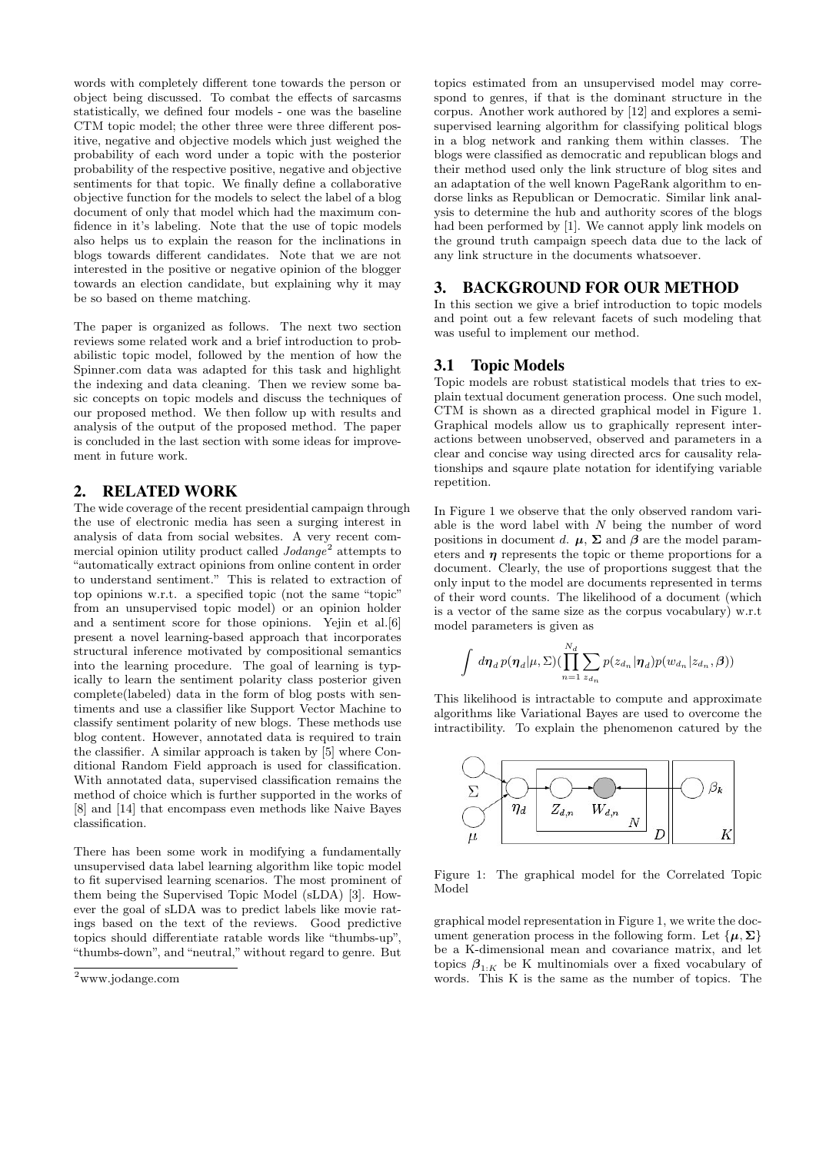words with completely different tone towards the person or object being discussed. To combat the effects of sarcasms statistically, we defined four models - one was the baseline CTM topic model; the other three were three different positive, negative and objective models which just weighed the probability of each word under a topic with the posterior probability of the respective positive, negative and objective sentiments for that topic. We finally define a collaborative objective function for the models to select the label of a blog document of only that model which had the maximum confidence in it's labeling. Note that the use of topic models also helps us to explain the reason for the inclinations in blogs towards different candidates. Note that we are not interested in the positive or negative opinion of the blogger towards an election candidate, but explaining why it may be so based on theme matching.

The paper is organized as follows. The next two section reviews some related work and a brief introduction to probabilistic topic model, followed by the mention of how the Spinner.com data was adapted for this task and highlight the indexing and data cleaning. Then we review some basic concepts on topic models and discuss the techniques of our proposed method. We then follow up with results and analysis of the output of the proposed method. The paper is concluded in the last section with some ideas for improvement in future work.

#### 2. RELATED WORK

The wide coverage of the recent presidential campaign through the use of electronic media has seen a surging interest in analysis of data from social websites. A very recent commercial opinion utility product called *Jodange*<sup>2</sup> attempts to "automatically extract opinions from online content in order to understand sentiment." This is related to extraction of top opinions w.r.t. a specified topic (not the same "topic" from an unsupervised topic model) or an opinion holder and a sentiment score for those opinions. Yejin et al.[6] present a novel learning-based approach that incorporates structural inference motivated by compositional semantics into the learning procedure. The goal of learning is typically to learn the sentiment polarity class posterior given complete(labeled) data in the form of blog posts with sentiments and use a classifier like Support Vector Machine to classify sentiment polarity of new blogs. These methods use blog content. However, annotated data is required to train the classifier. A similar approach is taken by [5] where Conditional Random Field approach is used for classification. With annotated data, supervised classification remains the method of choice which is further supported in the works of [8] and [14] that encompass even methods like Naive Bayes classification.

There has been some work in modifying a fundamentally unsupervised data label learning algorithm like topic model to fit supervised learning scenarios. The most prominent of them being the Supervised Topic Model (sLDA) [3]. However the goal of sLDA was to predict labels like movie ratings based on the text of the reviews. Good predictive topics should differentiate ratable words like "thumbs-up", "thumbs-down", and "neutral," without regard to genre. But

topics estimated from an unsupervised model may correspond to genres, if that is the dominant structure in the corpus. Another work authored by [12] and explores a semisupervised learning algorithm for classifying political blogs in a blog network and ranking them within classes. The blogs were classified as democratic and republican blogs and their method used only the link structure of blog sites and an adaptation of the well known PageRank algorithm to endorse links as Republican or Democratic. Similar link analysis to determine the hub and authority scores of the blogs had been performed by [1]. We cannot apply link models on the ground truth campaign speech data due to the lack of any link structure in the documents whatsoever.

#### 3. BACKGROUND FOR OUR METHOD

In this section we give a brief introduction to topic models and point out a few relevant facets of such modeling that was useful to implement our method.

#### 3.1 Topic Models

Topic models are robust statistical models that tries to explain textual document generation process. One such model, CTM is shown as a directed graphical model in Figure 1. Graphical models allow us to graphically represent interactions between unobserved, observed and parameters in a clear and concise way using directed arcs for causality relationships and sqaure plate notation for identifying variable repetition.

In Figure 1 we observe that the only observed random variable is the word label with  $N$  being the number of word positions in document d.  $\mu$ ,  $\Sigma$  and  $\beta$  are the model parameters and  $\eta$  represents the topic or theme proportions for a document. Clearly, the use of proportions suggest that the only input to the model are documents represented in terms of their word counts. The likelihood of a document (which is a vector of the same size as the corpus vocabulary) w.r.t model parameters is given as

$$
\int d\boldsymbol{\eta}_d p(\boldsymbol{\eta}_d|\mu,\Sigma)(\prod_{n=1}^{N_d}\sum_{z_{d_n}} p(z_{d_n}|\boldsymbol{\eta}_d)p(w_{d_n}|z_{d_n},\beta))
$$

This likelihood is intractable to compute and approximate algorithms like Variational Bayes are used to overcome the intractibility. To explain the phenomenon catured by the



Figure 1: The graphical model for the Correlated Topic Model

graphical model representation in Figure 1, we write the document generation process in the following form. Let  $\{\mu, \Sigma\}$ be a K-dimensional mean and covariance matrix, and let topics  $\beta_{1:K}$  be K multinomials over a fixed vocabulary of words. This K is the same as the number of topics. The

<sup>2</sup>www.jodange.com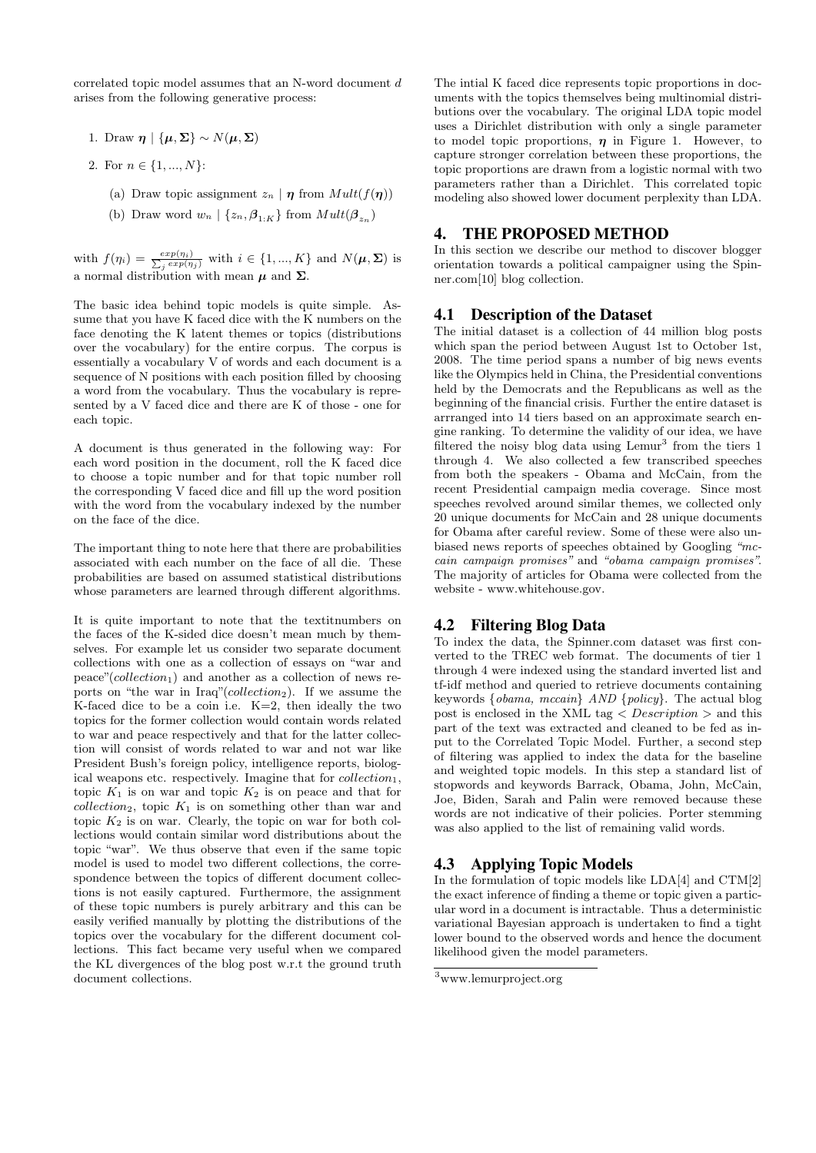correlated topic model assumes that an N-word document  $\boldsymbol{d}$ arises from the following generative process:

- 1. Draw  $\eta \mid {\{\mu, \Sigma\}} \sim N(\mu, \Sigma)$
- 2. For  $n \in \{1, ..., N\}$ :
	- (a) Draw topic assignment  $z_n | \eta$  from  $Mult(f(\eta))$
	- (b) Draw word  $w_n \mid \{z_n, \beta_{1:K}\}\$ from  $Mult(\beta_{z_n})$

with  $f(\eta_i) = \frac{exp(\eta_i)}{\sum_j exp(\eta_j)}$  with  $i \in \{1, ..., K\}$  and  $N(\mu, \Sigma)$  is a normal distribution with mean  $\mu$  and  $\Sigma$ .

The basic idea behind topic models is quite simple. Assume that you have K faced dice with the K numbers on the face denoting the K latent themes or topics (distributions over the vocabulary) for the entire corpus. The corpus is essentially a vocabulary V of words and each document is a sequence of N positions with each position filled by choosing a word from the vocabulary. Thus the vocabulary is represented by a V faced dice and there are K of those - one for each topic.

A document is thus generated in the following way: For each word position in the document, roll the K faced dice to choose a topic number and for that topic number roll the corresponding V faced dice and fill up the word position with the word from the vocabulary indexed by the number on the face of the dice.

The important thing to note here that there are probabilities associated with each number on the face of all die. These probabilities are based on assumed statistical distributions whose parameters are learned through different algorithms.

It is quite important to note that the textitnumbers on the faces of the K-sided dice doesn't mean much by themselves. For example let us consider two separate document collections with one as a collection of essays on "war and  $peace''(collection_1)$  and another as a collection of news reports on "the war in  $Iraq" (collection_2)$ . If we assume the K-faced dice to be a coin i.e.  $K=2$ , then ideally the two topics for the former collection would contain words related to war and peace respectively and that for the latter collection will consist of words related to war and not war like President Bush's foreign policy, intelligence reports, biological weapons etc. respectively. Imagine that for  $collection_1$ , topic  $K_1$  is on war and topic  $K_2$  is on peace and that for collection<sub>2</sub>, topic  $K_1$  is on something other than war and topic  $K_2$  is on war. Clearly, the topic on war for both collections would contain similar word distributions about the topic "war". We thus observe that even if the same topic model is used to model two different collections, the correspondence between the topics of different document collections is not easily captured. Furthermore, the assignment of these topic numbers is purely arbitrary and this can be easily verified manually by plotting the distributions of the topics over the vocabulary for the different document collections. This fact became very useful when we compared the KL divergences of the blog post w.r.t the ground truth document collections.

The intial K faced dice represents topic proportions in documents with the topics themselves being multinomial distributions over the vocabulary. The original LDA topic model uses a Dirichlet distribution with only a single parameter to model topic proportions,  $\eta$  in Figure 1. However, to capture stronger correlation between these proportions, the topic proportions are drawn from a logistic normal with two parameters rather than a Dirichlet. This correlated topic modeling also showed lower document perplexity than LDA.

#### 4. THE PROPOSED METHOD

In this section we describe our method to discover blogger orientation towards a political campaigner using the Spinner.com[10] blog collection.

#### 4.1 Description of the Dataset

The initial dataset is a collection of 44 million blog posts which span the period between August 1st to October 1st, 2008. The time period spans a number of big news events like the Olympics held in China, the Presidential conventions held by the Democrats and the Republicans as well as the beginning of the financial crisis. Further the entire dataset is arrranged into 14 tiers based on an approximate search engine ranking. To determine the validity of our idea, we have filtered the noisy blog data using Lemur<sup>3</sup> from the tiers 1 through 4. We also collected a few transcribed speeches from both the speakers - Obama and McCain, from the recent Presidential campaign media coverage. Since most speeches revolved around similar themes, we collected only 20 unique documents for McCain and 28 unique documents for Obama after careful review. Some of these were also unbiased news reports of speeches obtained by Googling "mccain campaign promises" and "obama campaign promises". The majority of articles for Obama were collected from the website - www.whitehouse.gov.

#### 4.2 Filtering Blog Data

To index the data, the Spinner.com dataset was first converted to the TREC web format. The documents of tier 1 through 4 were indexed using the standard inverted list and tf-idf method and queried to retrieve documents containing keywords {obama, mccain} AND {policy}. The actual blog post is enclosed in the XML tag  $\langle$  *Description*  $\rangle$  and this part of the text was extracted and cleaned to be fed as input to the Correlated Topic Model. Further, a second step of filtering was applied to index the data for the baseline and weighted topic models. In this step a standard list of stopwords and keywords Barrack, Obama, John, McCain, Joe, Biden, Sarah and Palin were removed because these words are not indicative of their policies. Porter stemming was also applied to the list of remaining valid words.

# 4.3 Applying Topic Models

In the formulation of topic models like LDA[4] and CTM[2] the exact inference of finding a theme or topic given a particular word in a document is intractable. Thus a deterministic variational Bayesian approach is undertaken to find a tight lower bound to the observed words and hence the document likelihood given the model parameters.

<sup>3</sup>www.lemurproject.org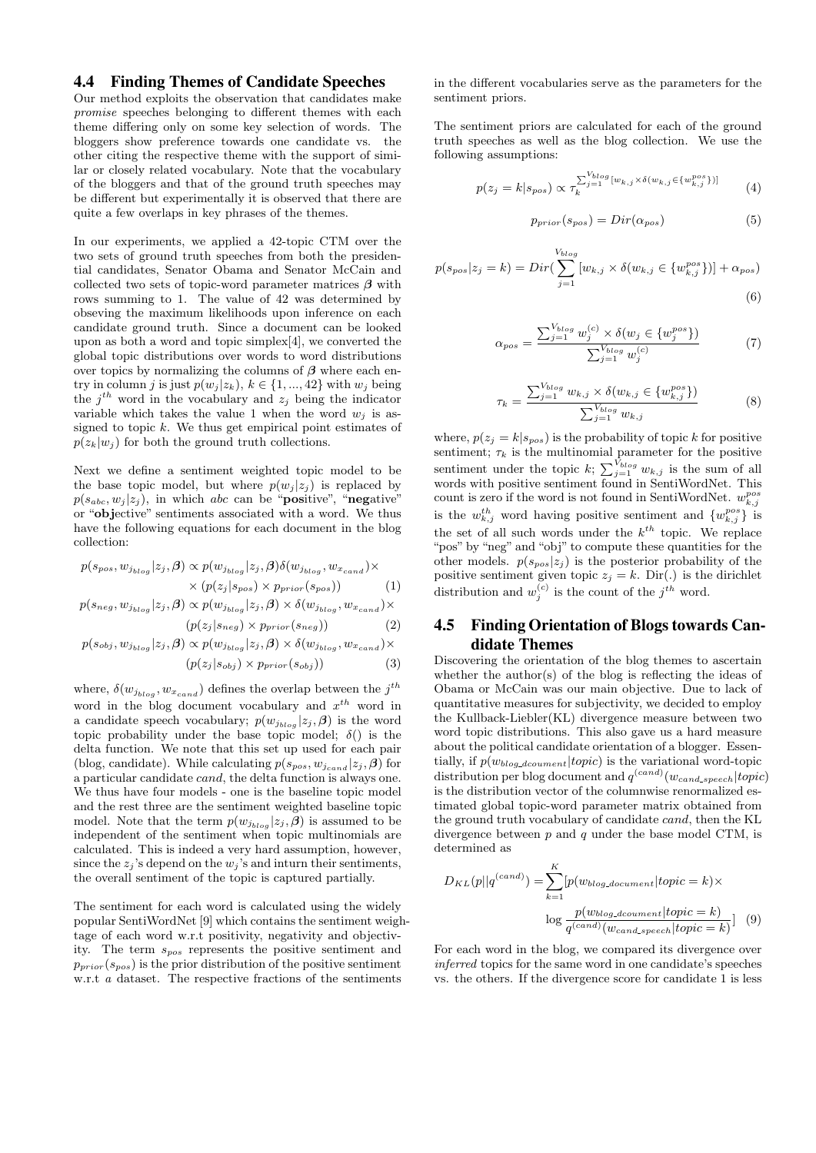#### 4.4 Finding Themes of Candidate Speeches

Our method exploits the observation that candidates make promise speeches belonging to different themes with each theme differing only on some key selection of words. The bloggers show preference towards one candidate vs. the other citing the respective theme with the support of similar or closely related vocabulary. Note that the vocabulary of the bloggers and that of the ground truth speeches may be different but experimentally it is observed that there are quite a few overlaps in key phrases of the themes.

In our experiments, we applied a 42-topic CTM over the two sets of ground truth speeches from both the presidential candidates, Senator Obama and Senator McCain and collected two sets of topic-word parameter matrices  $\beta$  with rows summing to 1. The value of 42 was determined by obseving the maximum likelihoods upon inference on each candidate ground truth. Since a document can be looked upon as both a word and topic simplex[4], we converted the global topic distributions over words to word distributions over topics by normalizing the columns of  $\beta$  where each entry in column j is just  $p(w_i | z_k)$ ,  $k \in \{1, ..., 42\}$  with  $w_i$  being the  $j^{th}$  word in the vocabulary and  $z_j$  being the indicator variable which takes the value 1 when the word  $w_i$  is assigned to topic  $k$ . We thus get empirical point estimates of  $p(z_k|w_i)$  for both the ground truth collections.

Next we define a sentiment weighted topic model to be the base topic model, but where  $p(w_j | z_j)$  is replaced by  $p(s_{abc}, w_j | z_j)$ , in which abc can be "**positive**", "**negative**" or "objective" sentiments associated with a word. We thus have the following equations for each document in the blog collection:

$$
p(s_{pos}, w_{j_{blog}} | z_j, \beta) \propto p(w_{j_{blog}} | z_j, \beta) \delta(w_{j_{blog}}, w_{x_{cand}}) \times \times (p(z_j | s_{pos}) \times p_{prior}(s_{pos})) \tag{1}
$$

$$
p(s_{neg}, w_{j_{blog}} | z_j, \beta) \propto p(w_{j_{blog}} | z_j, \beta) \times \delta(w_{j_{blog}}, w_{x_{cand}}) \times
$$

$$
(p(z_j | s_{neg}) \times p_{prior}(s_{neg})) \qquad (2)
$$

$$
p(z_j|S_{neg}) \times p_{prior}(S_{neg})) \tag{2}
$$

$$
p(s_{obj}, w_{j_{blog}} | z_j, \beta) \propto p(w_{j_{blog}} | z_j, \beta) \times \delta(w_{j_{blog}}, w_{x_{cand}}) \times
$$

$$
(p(z_j | s_{obj}) \times p_{prior}(s_{obj})) \tag{3}
$$

where,  $\delta(w_{j_{blog}}, w_{x_{cand}})$  defines the overlap between the  $j^{th}$ word in the blog document vocabulary and  $x^{th}$  word in a candidate speech vocabulary;  $p(w_{j_{blog}} | z_j, \beta)$  is the word topic probability under the base topic model;  $\delta()$  is the delta function. We note that this set up used for each pair (blog, candidate). While calculating  $p(s_{pos}, w_{j_{cand}} | z_j, \beta)$  for a particular candidate cand, the delta function is always one. We thus have four models - one is the baseline topic model and the rest three are the sentiment weighted baseline topic model. Note that the term  $p(w_{j_{blog}} | z_j, \beta)$  is assumed to be independent of the sentiment when topic multinomials are calculated. This is indeed a very hard assumption, however, since the  $z_i$ 's depend on the  $w_i$ 's and inturn their sentiments, the overall sentiment of the topic is captured partially.

The sentiment for each word is calculated using the widely popular SentiWordNet [9] which contains the sentiment weightage of each word w.r.t positivity, negativity and objectivity. The term spos represents the positive sentiment and  $p_{prior}(s_{pos})$  is the prior distribution of the positive sentiment w.r.t a dataset. The respective fractions of the sentiments

in the different vocabularies serve as the parameters for the sentiment priors.

The sentiment priors are calculated for each of the ground truth speeches as well as the blog collection. We use the following assumptions:

$$
p(z_j = k | s_{pos}) \propto \tau_k^{\sum_{j=1}^{V_{blog}} [w_{k,j} \times \delta(w_{k,j} \in \{w_{k,j}^{pos}\})]}
$$
(4)

$$
p_{prior}(s_{pos}) = Dir(\alpha_{pos})
$$
 (5)

$$
p(s_{pos}|z_j = k) = Dir(\sum_{j=1}^{V_{blog}} [w_{k,j} \times \delta(w_{k,j} \in \{w_{k,j}^{pos}\})] + \alpha_{pos})
$$
\n(6)

$$
\alpha_{pos} = \frac{\sum_{j=1}^{V_{blog}} w_j^{(c)} \times \delta(w_j \in \{w_j^{pos}\})}{\sum_{j=1}^{V_{blog}} w_j^{(c)}} \tag{7}
$$

$$
\tau_k = \frac{\sum_{j=1}^{V_{blog}} w_{k,j} \times \delta(w_{k,j} \in \{w_{k,j}^{pos}\})}{\sum_{j=1}^{V_{blog}} w_{k,j}}
$$
(8)

where,  $p(z_j = k | s_{pos})$  is the probability of topic k for positive sentiment;  $\tau_k$  is the multinomial parameter for the positive sentiment under the topic  $k$ ;  $\sum_{j=1}^{V_{blog}} w_{k,j}$  is the sum of all words with positive sentiment found in SentiWordNet. This count is zero if the word is not found in SentiWordNet.  $w_{k,j}^{pos}$ is the  $w_{k,j}^{th}$  word having positive sentiment and  $\{w_{k,j}^{pos}\}\$ is the set of all such words under the  $k^{th}$  topic. We replace "pos" by "neg" and "obj" to compute these quantities for the other models.  $p(s_{pos}|z_j)$  is the posterior probability of the positive sentiment given topic  $z_j = k$ . Dir(.) is the dirichlet distribution and  $w_j^{(c)}$  is the count of the  $j^{th}$  word.

## 4.5 Finding Orientation of Blogs towards Candidate Themes

Discovering the orientation of the blog themes to ascertain whether the author(s) of the blog is reflecting the ideas of Obama or McCain was our main objective. Due to lack of quantitative measures for subjectivity, we decided to employ the Kullback-Liebler(KL) divergence measure between two word topic distributions. This also gave us a hard measure about the political candidate orientation of a blogger. Essentially, if  $p(w_{blog-dcount}|topic)$  is the variational word-topic distribution per blog document and  $q^{(cand)}(w_{cand\_{spech}}| topic)$ is the distribution vector of the columnwise renormalized estimated global topic-word parameter matrix obtained from the ground truth vocabulary of candidate cand, then the KL divergence between  $p$  and  $q$  under the base model CTM, is determined as

$$
D_{KL}(p||q^{(cand)}) = \sum_{k=1}^{K} [p(w_{blog\_document}|topic = k) \times \log \frac{p(w_{blog\_document}|topic = k)}{q^{(cand)}(w_{cand\_speed} | topic = k)}]
$$
(9)

For each word in the blog, we compared its divergence over inferred topics for the same word in one candidate's speeches vs. the others. If the divergence score for candidate 1 is less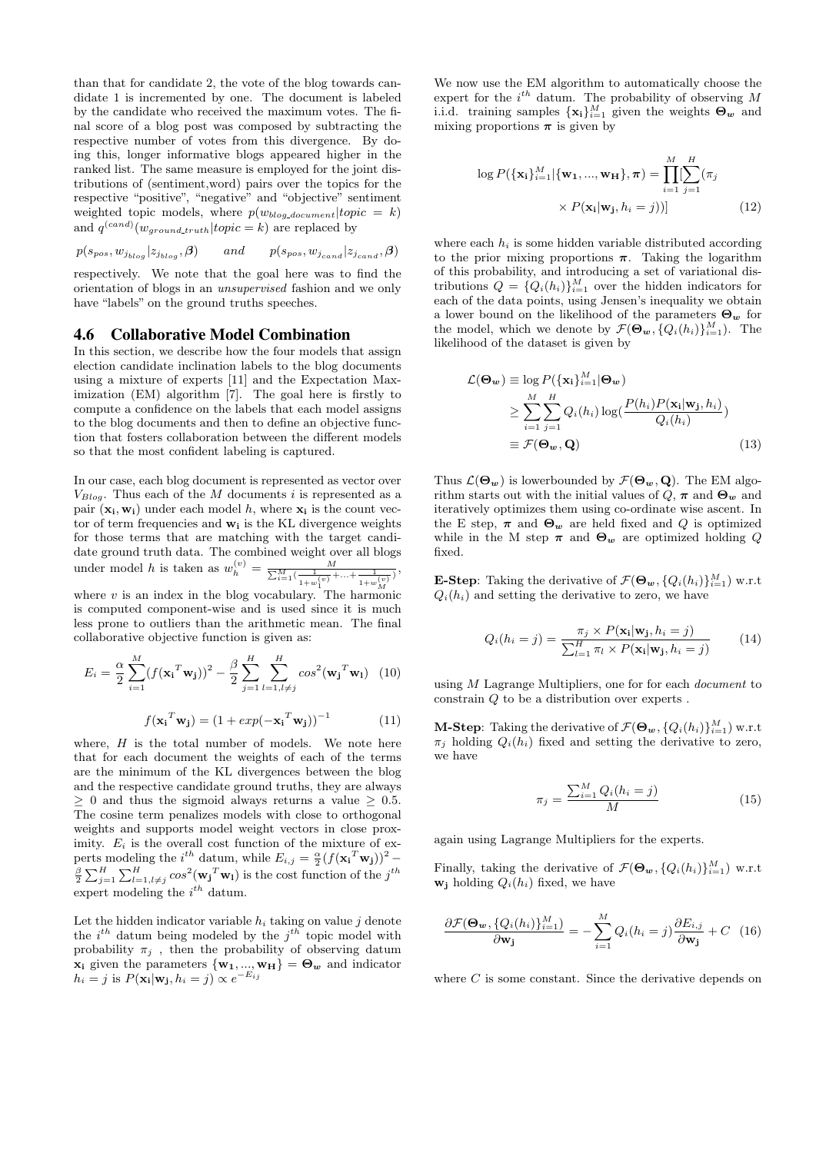than that for candidate 2, the vote of the blog towards candidate 1 is incremented by one. The document is labeled by the candidate who received the maximum votes. The final score of a blog post was composed by subtracting the respective number of votes from this divergence. By doing this, longer informative blogs appeared higher in the ranked list. The same measure is employed for the joint distributions of (sentiment,word) pairs over the topics for the respective "positive", "negative" and "objective" sentiment weighted topic models, where  $p(w_{blog-document}|topic = k)$ and  $q^{(cand)}(w_{ground\_truth} | topic = k)$  are replaced by

$$
p(s_{pos}, w_{j_{blog}} | z_{j_{blog}}, \beta)
$$
 and  $p(s_{pos}, w_{j_{cand}} | z_{j_{cand}}, \beta)$ 

respectively. We note that the goal here was to find the orientation of blogs in an unsupervised fashion and we only have "labels" on the ground truths speeches.

#### 4.6 Collaborative Model Combination

In this section, we describe how the four models that assign election candidate inclination labels to the blog documents using a mixture of experts [11] and the Expectation Maximization (EM) algorithm [7]. The goal here is firstly to compute a confidence on the labels that each model assigns to the blog documents and then to define an objective function that fosters collaboration between the different models so that the most confident labeling is captured.

In our case, each blog document is represented as vector over  $V_{Blog}$ . Thus each of the M documents i is represented as a pair  $(x_i, w_i)$  under each model h, where  $x_i$  is the count vector of term frequencies and  $w_i$  is the KL divergence weights for those terms that are matching with the target candidate ground truth data. The combined weight over all blogs under model h is taken as  $w_h^{(v)} = \frac{M}{\sum_{i=1}^M (\frac{1}{1+w_1^{(v)}} + \dots + \frac{1}{1+w_M^{(v)}})}$  $\frac{1}{2}$ 

where  $v$  is an index in the blog vocabulary. The harmonic is computed component-wise and is used since it is much less prone to outliers than the arithmetic mean. The final collaborative objective function is given as:

$$
E_i = \frac{\alpha}{2} \sum_{i=1}^{M} (f(\mathbf{x_i}^T \mathbf{w_j}))^2 - \frac{\beta}{2} \sum_{j=1}^{H} \sum_{l=1, l \neq j}^{H} cos^2(\mathbf{w_j}^T \mathbf{w_l}) \quad (10)
$$

$$
f(\mathbf{x_i}^T \mathbf{w_j}) = (1 + exp(-\mathbf{x_i}^T \mathbf{w_j}))^{-1}
$$
 (11)

where,  $H$  is the total number of models. We note here that for each document the weights of each of the terms are the minimum of the KL divergences between the blog and the respective candidate ground truths, they are always  $\geq$  0 and thus the sigmoid always returns a value  $\geq$  0.5. The cosine term penalizes models with close to orthogonal weights and supports model weight vectors in close proximity.  $E_i$  is the overall cost function of the mixture of experts modeling the  $i^{th}$  datum, while  $E_{i,j} = \frac{\alpha}{2} (f(\mathbf{x_i}^T \mathbf{w_j}))^2$  –  $\frac{\beta}{2} \sum_{j=1}^{H} \sum_{l=1, l \neq j}^{H} cos^2(\mathbf{w_j}^T \mathbf{w_l})$  is the cost function of the  $j^{th}$ expert modeling the  $i^{th}$  datum.

Let the hidden indicator variable  $h_i$  taking on value j denote the  $i^{th}$  datum being modeled by the  $j^{th}$  topic model with probability  $\pi_j$ , then the probability of observing datum  $\mathbf{x}_i$  given the parameters  $\{\mathbf{w}_1, ..., \mathbf{w}_H\} = \mathbf{\Theta_w}$  and indicator  $h_i = j$  is  $P(\mathbf{x_i}|\mathbf{w_j}, h_i = j) \propto e^{-E_{ij}}$ 

We now use the EM algorithm to automatically choose the expert for the  $i^{th}$  datum. The probability of observing M i.i.d. training samples  $\{x_i\}_{i=1}^M$  given the weights  $\Theta_w$  and mixing proportions  $\pi$  is given by

$$
\log P(\{\mathbf{x_i}\}_{i=1}^M | \{\mathbf{w_1}, ..., \mathbf{w_H}\}, \boldsymbol{\pi}) = \prod_{i=1}^M \left[\sum_{j=1}^H (\pi_j \times P(\mathbf{x_i} | \mathbf{w_j}, h_i = j))\right]
$$
(12)

where each  $h_i$  is some hidden variable distributed according to the prior mixing proportions  $\pi$ . Taking the logarithm of this probability, and introducing a set of variational distributions  $Q = \{Q_i(h_i)\}_{i=1}^M$  over the hidden indicators for each of the data points, using Jensen's inequality we obtain a lower bound on the likelihood of the parameters  $\Theta_w$  for the model, which we denote by  $\mathcal{F}(\mathbf{\Theta_w}, \{Q_i(h_i)\}_{i=1}^M)$ . The likelihood of the dataset is given by

$$
\mathcal{L}(\mathbf{\Theta}_{\mathbf{w}}) \equiv \log P(\{\mathbf{x_i}\}_{i=1}^M | \mathbf{\Theta}_{\mathbf{w}})
$$
  
\n
$$
\geq \sum_{i=1}^M \sum_{j=1}^H Q_i(h_i) \log(\frac{P(h_i)P(\mathbf{x_i}|\mathbf{w_j}, h_i)}{Q_i(h_i)})
$$
  
\n
$$
\equiv \mathcal{F}(\mathbf{\Theta}_{\mathbf{w}}, \mathbf{Q})
$$
\n(13)

Thus  $\mathcal{L}(\Theta_w)$  is lowerbounded by  $\mathcal{F}(\Theta_w, \mathbf{Q})$ . The EM algorithm starts out with the initial values of  $Q$ ,  $\pi$  and  $\Theta_w$  and iteratively optimizes them using co-ordinate wise ascent. In the E step,  $\pi$  and  $\Theta_w$  are held fixed and Q is optimized while in the M step  $\pi$  and  $\Theta_w$  are optimized holding Q fixed.

**E-Step**: Taking the derivative of  $\mathcal{F}(\mathbf{\Theta_w}, \{Q_i(h_i)\}_{i=1}^M)$  w.r.t  $Q_i(h_i)$  and setting the derivative to zero, we have

$$
Q_i(h_i = j) = \frac{\pi_j \times P(\mathbf{x_i}|\mathbf{w_j}, h_i = j)}{\sum_{l=1}^{H} \pi_l \times P(\mathbf{x_i}|\mathbf{w_j}, h_i = j)}
$$
(14)

using M Lagrange Multipliers, one for for each document to constrain Q to be a distribution over experts .

**M-Step**: Taking the derivative of  $\mathcal{F}(\mathbf{\Theta_w}, \{Q_i(h_i)\}_{i=1}^M)$  w.r.t  $\pi_j$  holding  $Q_i(h_i)$  fixed and setting the derivative to zero, we have

$$
\pi_j = \frac{\sum_{i=1}^{M} Q_i (h_i = j)}{M}
$$
\n(15)

again using Lagrange Multipliers for the experts.

Finally, taking the derivative of  $\mathcal{F}(\mathbf{\Theta_w}, \{Q_i(h_i)\}_{i=1}^M)$  w.r.t  $\mathbf{w}_j$  holding  $Q_i(h_i)$  fixed, we have

$$
\frac{\partial \mathcal{F}(\mathbf{\Theta_w}, \{Q_i(h_i)\}_{i=1}^M)}{\partial \mathbf{w_j}} = -\sum_{i=1}^M Q_i(h_i = j) \frac{\partial E_{i,j}}{\partial \mathbf{w_j}} + C \quad (16)
$$

where C is some constant. Since the derivative depends on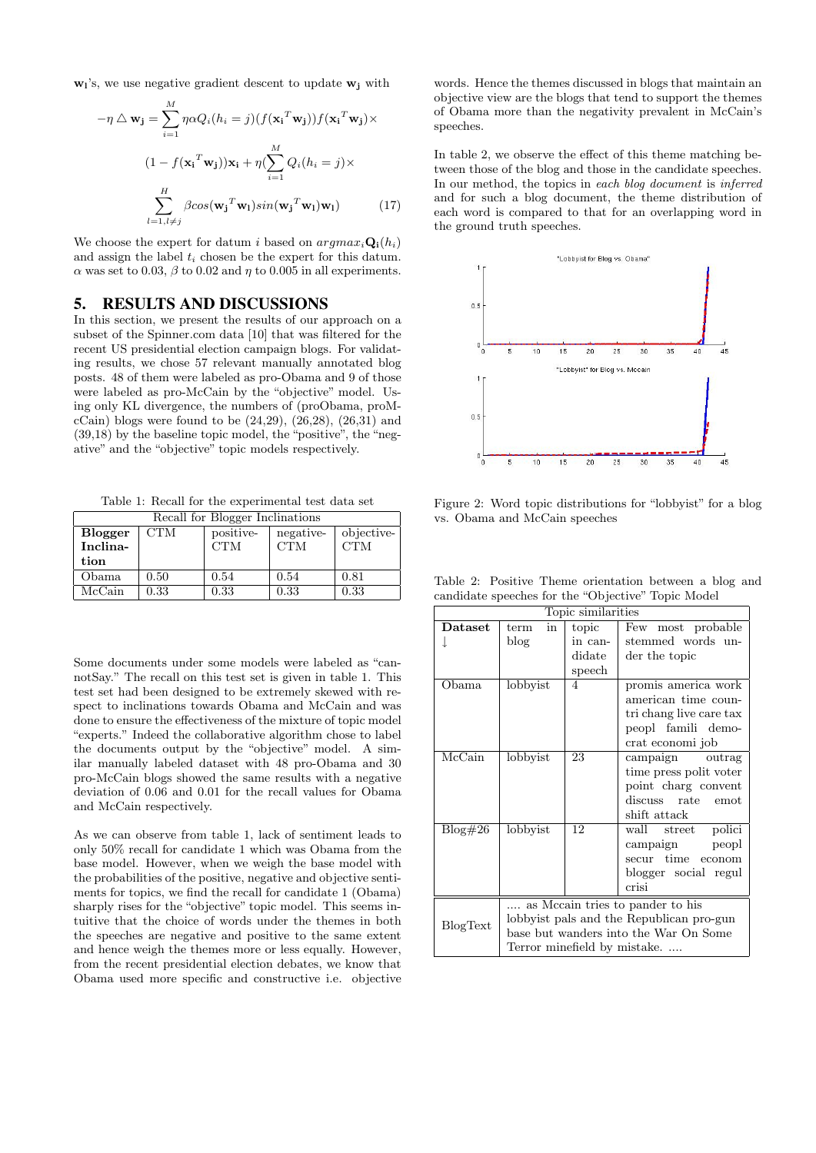$w_1$ 's, we use negative gradient descent to update  $w_i$  with

$$
-\eta \triangle \mathbf{w_j} = \sum_{i=1}^{M} \eta \alpha Q_i (h_i = j) (f(\mathbf{x_i}^T \mathbf{w_j})) f(\mathbf{x_i}^T \mathbf{w_j}) \times
$$
  

$$
(1 - f(\mathbf{x_i}^T \mathbf{w_j})) \mathbf{x_i} + \eta (\sum_{i=1}^{M} Q_i (h_i = j) \times
$$
  

$$
\sum_{l=1, l \neq j}^{H} \beta \cos(\mathbf{w_j}^T \mathbf{w_l}) \sin(\mathbf{w_j}^T \mathbf{w_l}) \mathbf{w_l})
$$
(17)

We choose the expert for datum i based on  $argmax_i \mathbf{Q_i}(h_i)$ and assign the label  $t_i$  chosen be the expert for this datum. α was set to 0.03,  $\beta$  to 0.02 and  $\eta$  to 0.005 in all experiments.

#### 5. RESULTS AND DISCUSSIONS

In this section, we present the results of our approach on a subset of the Spinner.com data [10] that was filtered for the recent US presidential election campaign blogs. For validating results, we chose 57 relevant manually annotated blog posts. 48 of them were labeled as pro-Obama and 9 of those were labeled as pro-McCain by the "objective" model. Using only KL divergence, the numbers of (proObama, proMcCain) blogs were found to be  $(24,29)$ ,  $(26,28)$ ,  $(26,31)$  and (39,18) by the baseline topic model, the "positive", the "negative" and the "objective" topic models respectively.

Table 1: Recall for the experimental test data set

| Recall for Blogger Inclinations |            |            |            |            |
|---------------------------------|------------|------------|------------|------------|
| <b>Blogger</b>                  | <b>CTM</b> | positive-  | negative-  | objective- |
| Inclina-                        |            | <b>CTM</b> | <b>CTM</b> | <b>CTM</b> |
| tion                            |            |            |            |            |
| Obama                           | 0.50       | 0.54       | 0.54       | 0.81       |
| McCain                          | 0.33       | 0.33       | 0.33       | 0.33       |

Some documents under some models were labeled as "cannotSay." The recall on this test set is given in table 1. This test set had been designed to be extremely skewed with respect to inclinations towards Obama and McCain and was done to ensure the effectiveness of the mixture of topic model "experts." Indeed the collaborative algorithm chose to label the documents output by the "objective" model. A similar manually labeled dataset with 48 pro-Obama and 30 pro-McCain blogs showed the same results with a negative deviation of 0.06 and 0.01 for the recall values for Obama and McCain respectively.

As we can observe from table 1, lack of sentiment leads to only 50% recall for candidate 1 which was Obama from the base model. However, when we weigh the base model with the probabilities of the positive, negative and objective sentiments for topics, we find the recall for candidate 1 (Obama) sharply rises for the "objective" topic model. This seems intuitive that the choice of words under the themes in both the speeches are negative and positive to the same extent and hence weigh the themes more or less equally. However, from the recent presidential election debates, we know that Obama used more specific and constructive i.e. objective

words. Hence the themes discussed in blogs that maintain an objective view are the blogs that tend to support the themes of Obama more than the negativity prevalent in McCain's speeches.

In table 2, we observe the effect of this theme matching between those of the blog and those in the candidate speeches. In our method, the topics in each blog document is inferred and for such a blog document, the theme distribution of each word is compared to that for an overlapping word in the ground truth speeches.



Figure 2: Word topic distributions for "lobbyist" for a blog vs. Obama and McCain speeches

|  | Table 2: Positive Theme orientation between a blog and |  |  |
|--|--------------------------------------------------------|--|--|
|  | candidate speeches for the "Objective" Topic Model     |  |  |

| Topic similarities         |                                                                      |                 |                         |  |
|----------------------------|----------------------------------------------------------------------|-----------------|-------------------------|--|
| Dataset                    | in<br>term                                                           | topic           | Few most probable       |  |
|                            | blog                                                                 | in can-         | stemmed words un-       |  |
|                            |                                                                      | $_{\rm didate}$ | der the topic           |  |
|                            |                                                                      | speech          |                         |  |
| Obama                      | lobbyist                                                             | 4               | promis america work     |  |
|                            |                                                                      |                 | american time coun-     |  |
|                            |                                                                      |                 | tri chang live care tax |  |
|                            |                                                                      |                 | peopl famili demo-      |  |
|                            |                                                                      |                 | crat economi job        |  |
| $\overline{\text{McCain}}$ | lobbyist                                                             | 23              | campaign outrag         |  |
|                            |                                                                      |                 | time press polit voter  |  |
|                            |                                                                      |                 | point charg convent     |  |
|                            |                                                                      |                 | discuss rate<br>emot    |  |
|                            |                                                                      |                 | shift attack            |  |
| Blog#26                    | lobbyist                                                             | 12              | wall street<br>polici   |  |
|                            |                                                                      |                 | campaign<br>peopl       |  |
|                            |                                                                      |                 | secur time econom       |  |
|                            |                                                                      |                 | blogger social regul    |  |
|                            |                                                                      |                 | crisi                   |  |
|                            | as Mccain tries to pander to his                                     |                 |                         |  |
| BlogText                   | lobby ist pals and the Republican pro-gun                            |                 |                         |  |
|                            | base but wanders into the War On Some<br>Terror minefield by mistake |                 |                         |  |
|                            |                                                                      |                 |                         |  |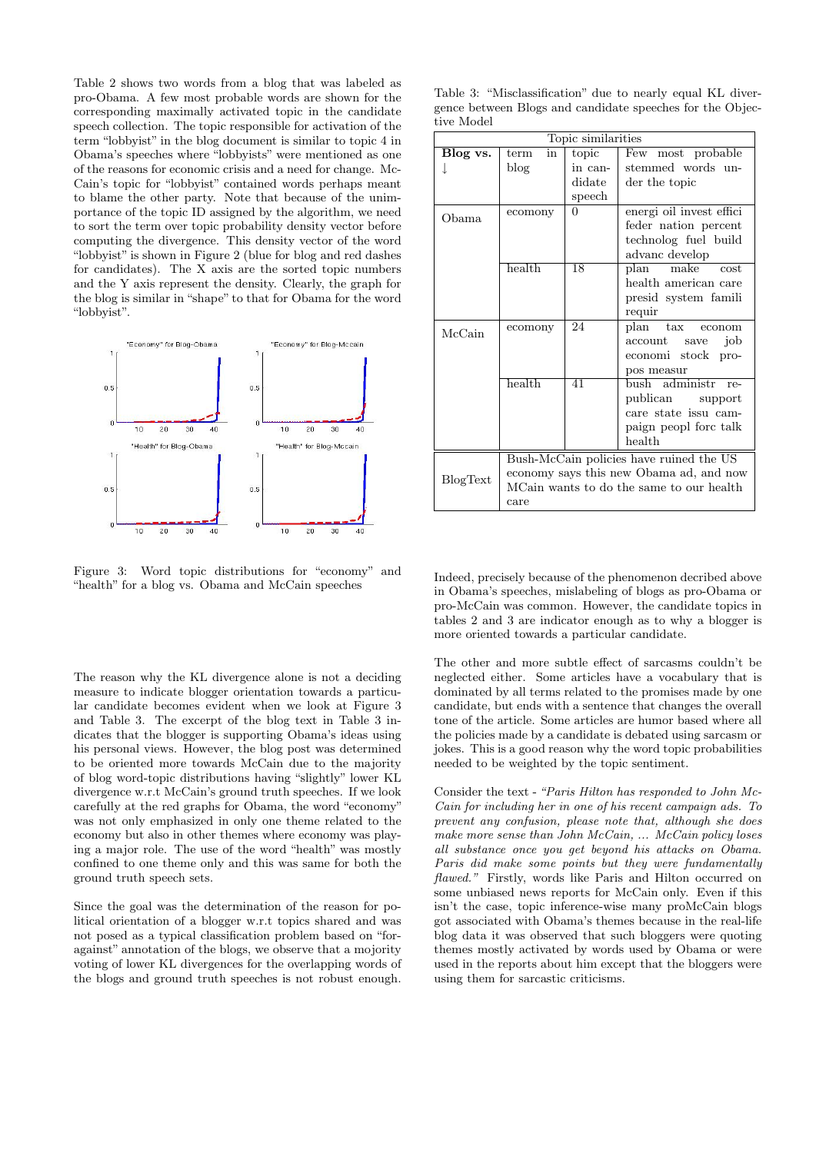Table 2 shows two words from a blog that was labeled as pro-Obama. A few most probable words are shown for the corresponding maximally activated topic in the candidate speech collection. The topic responsible for activation of the term "lobbyist" in the blog document is similar to topic 4 in Obama's speeches where "lobbyists" were mentioned as one of the reasons for economic crisis and a need for change. Mc-Cain's topic for "lobbyist" contained words perhaps meant to blame the other party. Note that because of the unimportance of the topic ID assigned by the algorithm, we need to sort the term over topic probability density vector before computing the divergence. This density vector of the word "lobbyist" is shown in Figure 2 (blue for blog and red dashes for candidates). The X axis are the sorted topic numbers and the Y axis represent the density. Clearly, the graph for the blog is similar in "shape" to that for Obama for the word "lobbyist".



Figure 3: Word topic distributions for "economy" and "health" for a blog vs. Obama and McCain speeches

The reason why the KL divergence alone is not a deciding measure to indicate blogger orientation towards a particular candidate becomes evident when we look at Figure 3 and Table 3. The excerpt of the blog text in Table 3 indicates that the blogger is supporting Obama's ideas using his personal views. However, the blog post was determined to be oriented more towards McCain due to the majority of blog word-topic distributions having "slightly" lower KL divergence w.r.t McCain's ground truth speeches. If we look carefully at the red graphs for Obama, the word "economy" was not only emphasized in only one theme related to the economy but also in other themes where economy was playing a major role. The use of the word "health" was mostly confined to one theme only and this was same for both the ground truth speech sets.

Since the goal was the determination of the reason for political orientation of a blogger w.r.t topics shared and was not posed as a typical classification problem based on "foragainst" annotation of the blogs, we observe that a mojority voting of lower KL divergences for the overlapping words of the blogs and ground truth speeches is not robust enough.

Table 3: "Misclassification" due to nearly equal KL divergence between Blogs and candidate speeches for the Objective Model

| Topic similarities |                                          |         |                          |  |
|--------------------|------------------------------------------|---------|--------------------------|--|
| Blog vs.           | in<br>term                               | topic   | Few most probable        |  |
|                    | blog                                     | in can- | stemmed words un-        |  |
|                    |                                          | didate  | der the topic            |  |
|                    |                                          | speech  |                          |  |
| Obama              | ecomony                                  | 0       | energi oil invest effici |  |
|                    |                                          |         | feder nation percent     |  |
|                    |                                          |         | technolog fuel build     |  |
|                    |                                          |         | advanc develop           |  |
|                    | health                                   | 18      | plan make cost           |  |
|                    |                                          |         | health american care     |  |
|                    |                                          |         | presid system famili     |  |
|                    |                                          |         | requir                   |  |
| McCain             | ecomony                                  | 24      | plan tax econom          |  |
|                    |                                          |         | account<br>job<br>save   |  |
|                    |                                          |         | economi stock pro-       |  |
|                    |                                          |         | pos measur               |  |
|                    | health                                   | 41      | bush administr re-       |  |
|                    |                                          |         | publican support         |  |
|                    |                                          |         | care state issu cam-     |  |
|                    |                                          |         | paign peopl forc talk    |  |
|                    |                                          |         | health                   |  |
|                    | Bush-McCain policies have ruined the US  |         |                          |  |
|                    | economy says this new Obama ad, and now  |         |                          |  |
| BlogText           | MCain wants to do the same to our health |         |                          |  |
|                    | care                                     |         |                          |  |

Indeed, precisely because of the phenomenon decribed above in Obama's speeches, mislabeling of blogs as pro-Obama or pro-McCain was common. However, the candidate topics in tables 2 and 3 are indicator enough as to why a blogger is more oriented towards a particular candidate.

The other and more subtle effect of sarcasms couldn't be neglected either. Some articles have a vocabulary that is dominated by all terms related to the promises made by one candidate, but ends with a sentence that changes the overall tone of the article. Some articles are humor based where all the policies made by a candidate is debated using sarcasm or jokes. This is a good reason why the word topic probabilities needed to be weighted by the topic sentiment.

Consider the text - "Paris Hilton has responded to John Mc-Cain for including her in one of his recent campaign ads. To prevent any confusion, please note that, although she does make more sense than John McCain,  $\ldots$  McCain policy loses all substance once you get beyond his attacks on Obama. Paris did make some points but they were fundamentally flawed." Firstly, words like Paris and Hilton occurred on some unbiased news reports for McCain only. Even if this isn't the case, topic inference-wise many proMcCain blogs got associated with Obama's themes because in the real-life blog data it was observed that such bloggers were quoting themes mostly activated by words used by Obama or were used in the reports about him except that the bloggers were using them for sarcastic criticisms.